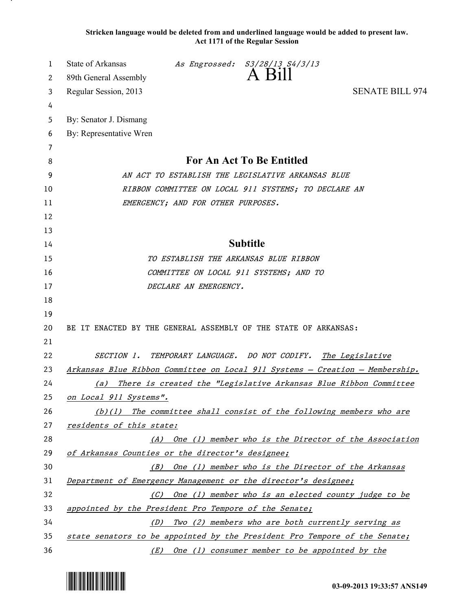**Stricken language would be deleted from and underlined language would be added to present law. Act 1171 of the Regular Session**

| 1  | <b>State of Arkansas</b><br>As Engrossed: S3/28/13 S4/3/13<br>A Bill         |  |
|----|------------------------------------------------------------------------------|--|
| 2  | 89th General Assembly                                                        |  |
| 3  | <b>SENATE BILL 974</b><br>Regular Session, 2013                              |  |
| 4  |                                                                              |  |
| 5  | By: Senator J. Dismang                                                       |  |
| 6  | By: Representative Wren                                                      |  |
| 7  |                                                                              |  |
| 8  | <b>For An Act To Be Entitled</b>                                             |  |
| 9  | AN ACT TO ESTABLISH THE LEGISLATIVE ARKANSAS BLUE                            |  |
| 10 | RIBBON COMMITTEE ON LOCAL 911 SYSTEMS; TO DECLARE AN                         |  |
| 11 | EMERGENCY; AND FOR OTHER PURPOSES.                                           |  |
| 12 |                                                                              |  |
| 13 |                                                                              |  |
| 14 | <b>Subtitle</b>                                                              |  |
| 15 | TO ESTABLISH THE ARKANSAS BLUE RIBBON                                        |  |
| 16 | COMMITTEE ON LOCAL 911 SYSTEMS; AND TO                                       |  |
| 17 | DECLARE AN EMERGENCY.                                                        |  |
| 18 |                                                                              |  |
| 19 |                                                                              |  |
| 20 | BE IT ENACTED BY THE GENERAL ASSEMBLY OF THE STATE OF ARKANSAS:              |  |
| 21 |                                                                              |  |
| 22 | SECTION 1. TEMPORARY LANGUAGE. DO NOT CODIFY.<br>The Legislative             |  |
| 23 | Arkansas Blue Ribbon Committee on Local 911 Systems - Creation - Membership. |  |
| 24 | (a) There is created the "Legislative Arkansas Blue Ribbon Committee         |  |
| 25 | on Local 911 Systems".                                                       |  |
| 26 | $(b)(1)$ The committee shall consist of the following members who are        |  |
| 27 | residents of this state:                                                     |  |
| 28 | (A) One (1) member who is the Director of the Association                    |  |
| 29 | of Arkansas Counties or the director's designee;                             |  |
| 30 | (B) One (1) member who is the Director of the Arkansas                       |  |
| 31 | Department of Emergency Management or the director's designee;               |  |
| 32 | (C) One (1) member who is an elected county judge to be                      |  |
| 33 | appointed by the President Pro Tempore of the Senate;                        |  |
| 34 | Two (2) members who are both currently serving as<br>(D)                     |  |
| 35 | state senators to be appointed by the President Pro Tempore of the Senate;   |  |
| 36 | (E) One (1) consumer member to be appointed by the                           |  |

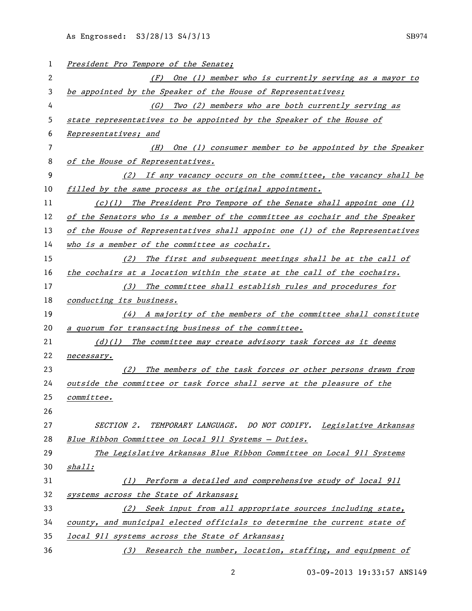| 1  | President Pro Tempore of the Senate;                                         |
|----|------------------------------------------------------------------------------|
| 2  | (F) One (1) member who is currently serving as a mayor to                    |
| 3  | be appointed by the Speaker of the House of Representatives;                 |
| 4  | Two (2) members who are both currently serving as<br>(G)                     |
| 5  | state representatives to be appointed by the Speaker of the House of         |
| 6  | Representatives; and                                                         |
| 7  | One (1) consumer member to be appointed by the Speaker<br>(H)                |
| 8  | of the House of Representatives.                                             |
| 9  | (2) If any vacancy occurs on the committee, the vacancy shall be             |
| 10 | filled by the same process as the original appointment.                      |
| 11 | $(c)(1)$ The President Pro Tempore of the Senate shall appoint one (1)       |
| 12 | of the Senators who is a member of the committee as cochair and the Speaker  |
| 13 | of the House of Representatives shall appoint one (1) of the Representatives |
| 14 | who is a member of the committee as cochair.                                 |
| 15 | (2) The first and subsequent meetings shall be at the call of                |
| 16 | the cochairs at a location within the state at the call of the cochairs.     |
| 17 | (3) The committee shall establish rules and procedures for                   |
| 18 | conducting its business.                                                     |
| 19 | $(4)$ A majority of the members of the committee shall constitute            |
| 20 | a quorum for transacting business of the committee.                          |
| 21 | $(d)(1)$ The committee may create advisory task forces as it deems           |
| 22 | necessary.                                                                   |
| 23 | The members of the task forces or other persons drawn from<br>(2)            |
| 24 | outside the committee or task force shall serve at the pleasure of the       |
| 25 | <u>committee.</u>                                                            |
| 26 |                                                                              |
| 27 | SECTION 2. TEMPORARY LANGUAGE. DO NOT CODIFY. Legislative Arkansas           |
| 28 | Blue Ribbon Committee on Local 911 Systems - Duties.                         |
| 29 | The Legislative Arkansas Blue Ribbon Committee on Local 911 Systems          |
| 30 | <u>shall</u> :                                                               |
| 31 | Perform a detailed and comprehensive study of local 911<br>(1)               |
| 32 | systems across the State of Arkansas;                                        |
| 33 | Seek input from all appropriate sources including state,<br>(2)              |
| 34 | county, and municipal elected officials to determine the current state of    |
| 35 | local 911 systems across the State of Arkansas;                              |
| 36 | (3) Research the number, location, staffing, and equipment of                |

03-09-2013 19:33:57 ANS149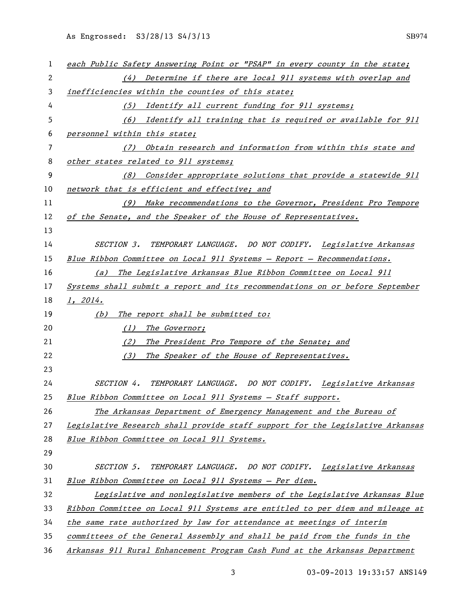| 1  | each Public Safety Answering Point or "PSAP" in every county in the state;    |
|----|-------------------------------------------------------------------------------|
| 2  | (4) Determine if there are local 911 systems with overlap and                 |
| 3  | inefficiencies within the counties of this state;                             |
| 4  | Identify all current funding for 911 systems;<br>(5)                          |
| 5  | (6) Identify all training that is required or available for 911               |
| 6  | personnel within this state;                                                  |
| 7  | (7) Obtain research and information from within this state and                |
| 8  | other states related to 911 systems;                                          |
| 9  | (8) Consider appropriate solutions that provide a statewide 911               |
| 10 | network that is efficient and effective; and                                  |
| 11 | (9) Make recommendations to the Governor, President Pro Tempore               |
| 12 | of the Senate, and the Speaker of the House of Representatives.               |
| 13 |                                                                               |
| 14 | <i>SECTION 3.</i><br>TEMPORARY LANGUAGE. DO NOT CODIFY. Legislative Arkansas  |
| 15 | Blue Ribbon Committee on Local 911 Systems - Report - Recommendations.        |
| 16 | The Legislative Arkansas Blue Ribbon Committee on Local 911<br>(a)            |
| 17 | Systems shall submit a report and its recommendations on or before September  |
| 18 | 1, 2014.                                                                      |
| 19 | The report shall be submitted to:<br>(b)                                      |
| 20 | The Governor;<br>(1)                                                          |
| 21 | The President Pro Tempore of the Senate; and<br>(2)                           |
| 22 | The Speaker of the House of Representatives.<br>(3)                           |
| 23 |                                                                               |
| 24 | SECTION 4. TEMPORARY LANGUAGE. DO NOT CODIFY. Legislative Arkansas            |
| 25 | Blue Ribbon Committee on Local 911 Systems - Staff support.                   |
| 26 | The Arkansas Department of Emergency Management and the Bureau of             |
| 27 | Legislative Research shall provide staff support for the Legislative Arkansas |
| 28 | Blue Ribbon Committee on Local 911 Systems.                                   |
| 29 |                                                                               |
| 30 | TEMPORARY LANGUAGE. DO NOT CODIFY. Legislative Arkansas<br><i>SECTION 5.</i>  |
| 31 | Blue Ribbon Committee on Local 911 Systems - Per diem.                        |
| 32 | Legislative and nonlegislative members of the Legislative Arkansas Blue       |
| 33 | Ribbon Committee on Local 911 Systems are entitled to per diem and mileage at |
| 34 | the same rate authorized by law for attendance at meetings of interim         |
| 35 | committees of the General Assembly and shall be paid from the funds in the    |
| 36 | Arkansas 911 Rural Enhancement Program Cash Fund at the Arkansas Department   |

03-09-2013 19:33:57 ANS149